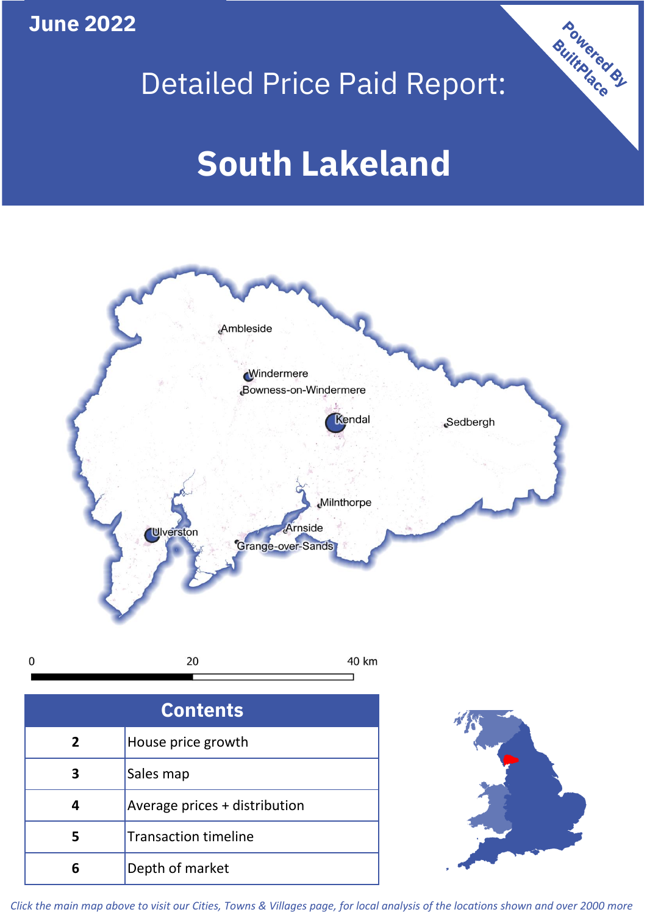**June 2022**

 $\mathbf 0$ 

## Detailed Price Paid Report:

# **South Lakeland**



| <b>Contents</b> |                               |  |  |
|-----------------|-------------------------------|--|--|
| $\overline{2}$  | House price growth            |  |  |
| 3               | Sales map                     |  |  |
| 4               | Average prices + distribution |  |  |
| 5               | <b>Transaction timeline</b>   |  |  |
|                 | Depth of market               |  |  |



Powered By

*Click the main map above to visit our Cities, Towns & Villages page, for local analysis of the locations shown and over 2000 more*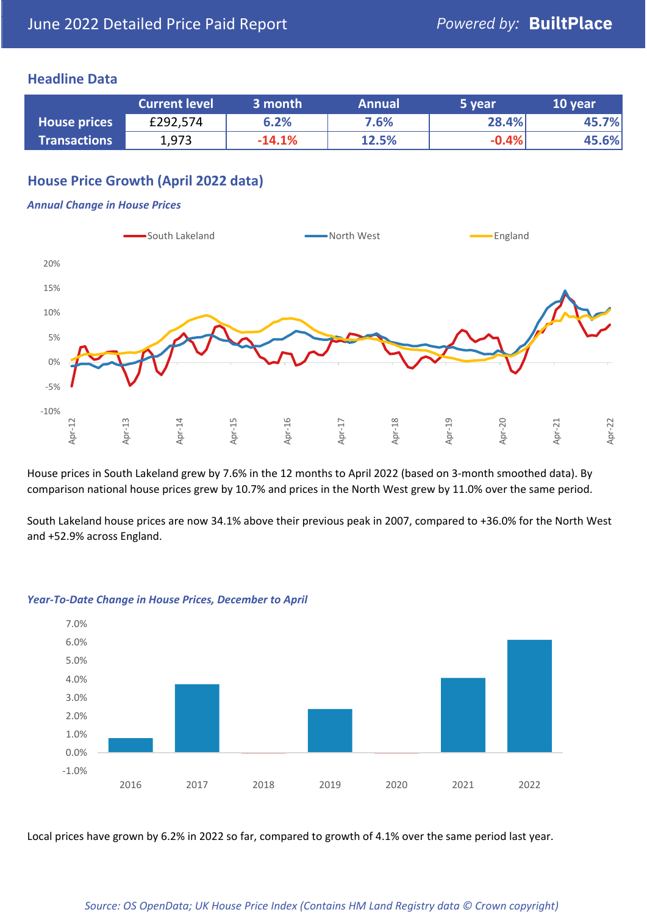#### **Headline Data**

|                     | <b>Current level</b> | 3 month  | <b>Annual</b> | '5 year | 10 year |
|---------------------|----------------------|----------|---------------|---------|---------|
| <b>House prices</b> | £292,574             | 6.2%     | 7.6%          | 28.4%   | 45.7%   |
| <b>Transactions</b> | 1,973                | $-14.1%$ | 12.5%         | $-0.4%$ | 45.6%   |

#### **House Price Growth (April 2022 data)**

#### *Annual Change in House Prices*



House prices in South Lakeland grew by 7.6% in the 12 months to April 2022 (based on 3-month smoothed data). By comparison national house prices grew by 10.7% and prices in the North West grew by 11.0% over the same period.

South Lakeland house prices are now 34.1% above their previous peak in 2007, compared to +36.0% for the North West and +52.9% across England.



#### *Year-To-Date Change in House Prices, December to April*

Local prices have grown by 6.2% in 2022 so far, compared to growth of 4.1% over the same period last year.

#### *Source: OS OpenData; UK House Price Index (Contains HM Land Registry data © Crown copyright)*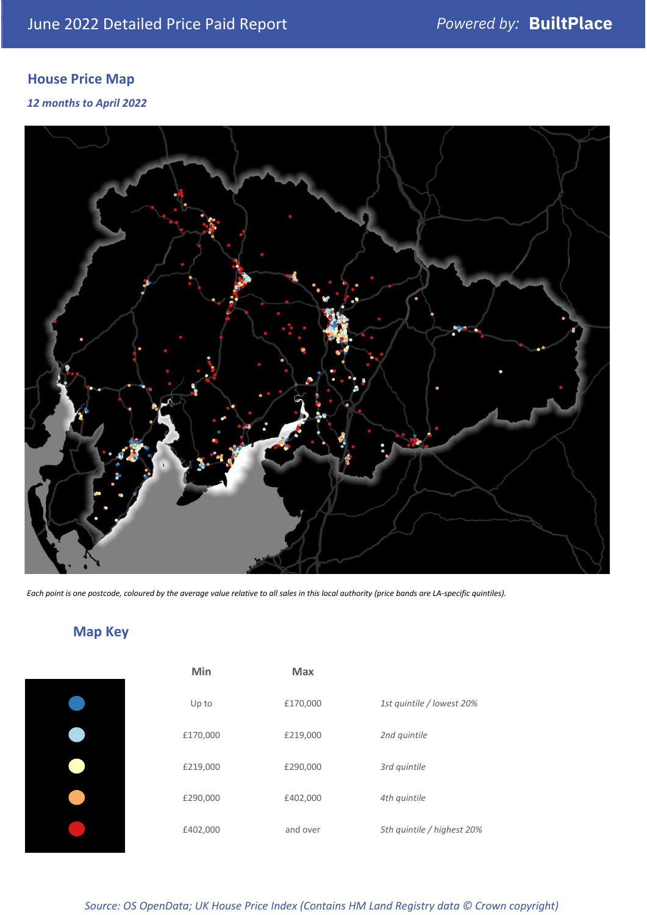### **House Price Map**

*12 months to April 2022*



*Each point is one postcode, coloured by the average value relative to all sales in this local authority (price bands are LA-specific quintiles).*

### **Map Key**

| Min      | <b>Max</b> |                            |
|----------|------------|----------------------------|
| Up to    | £170,000   | 1st quintile / lowest 20%  |
| £170,000 | £219,000   | 2nd quintile               |
| £219,000 | £290,000   | 3rd quintile               |
| £290,000 | £402,000   | 4th quintile               |
| £402,000 | and over   | 5th quintile / highest 20% |

*Source: OS OpenData; UK House Price Index (Contains HM Land Registry data © Crown copyright)*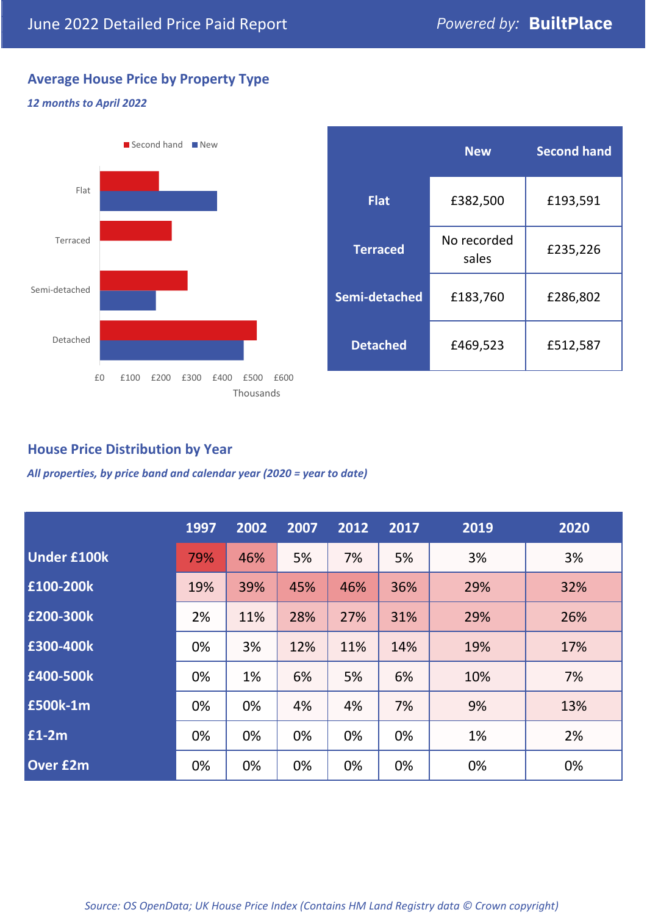#### **Average House Price by Property Type**

#### *12 months to April 2022*



|                 | <b>New</b>           | <b>Second hand</b> |  |
|-----------------|----------------------|--------------------|--|
| <b>Flat</b>     | £382,500             | £193,591           |  |
| <b>Terraced</b> | No recorded<br>sales | £235,226           |  |
| Semi-detached   | £183,760             | £286,802           |  |
| <b>Detached</b> | £469,523             | £512,587           |  |

#### **House Price Distribution by Year**

*All properties, by price band and calendar year (2020 = year to date)*

|                    | 1997 | 2002 | 2007 | 2012 | 2017 | 2019 | 2020 |
|--------------------|------|------|------|------|------|------|------|
| <b>Under £100k</b> | 79%  | 46%  | 5%   | 7%   | 5%   | 3%   | 3%   |
| £100-200k          | 19%  | 39%  | 45%  | 46%  | 36%  | 29%  | 32%  |
| E200-300k          | 2%   | 11%  | 28%  | 27%  | 31%  | 29%  | 26%  |
| £300-400k          | 0%   | 3%   | 12%  | 11%  | 14%  | 19%  | 17%  |
| £400-500k          | 0%   | 1%   | 6%   | 5%   | 6%   | 10%  | 7%   |
| <b>£500k-1m</b>    | 0%   | 0%   | 4%   | 4%   | 7%   | 9%   | 13%  |
| £1-2m              | 0%   | 0%   | 0%   | 0%   | 0%   | 1%   | 2%   |
| <b>Over £2m</b>    | 0%   | 0%   | 0%   | 0%   | 0%   | 0%   | 0%   |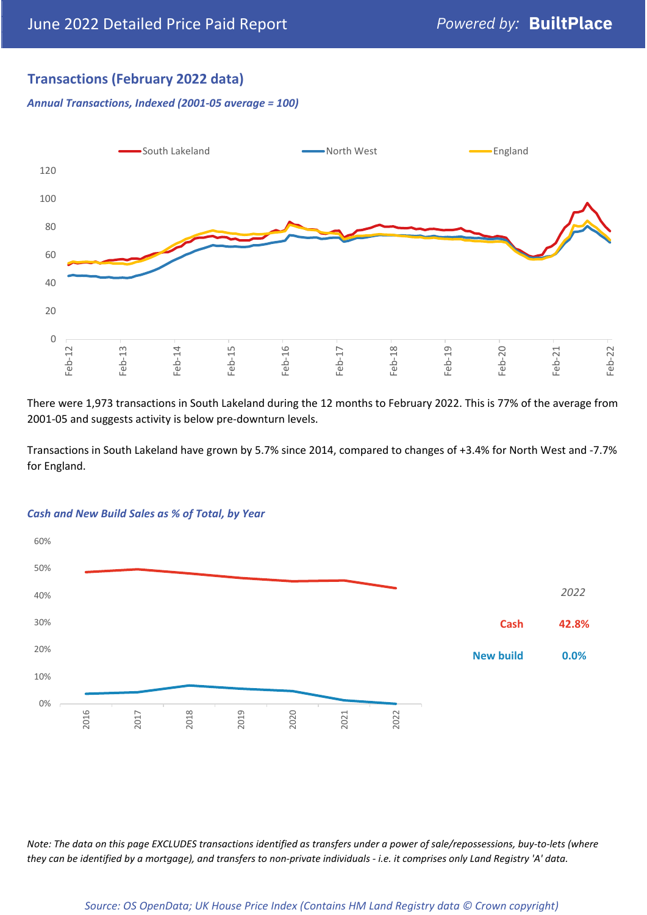#### **Transactions (February 2022 data)**

*Annual Transactions, Indexed (2001-05 average = 100)*



There were 1,973 transactions in South Lakeland during the 12 months to February 2022. This is 77% of the average from 2001-05 and suggests activity is below pre-downturn levels.

Transactions in South Lakeland have grown by 5.7% since 2014, compared to changes of +3.4% for North West and -7.7% for England.



#### *Cash and New Build Sales as % of Total, by Year*

*Note: The data on this page EXCLUDES transactions identified as transfers under a power of sale/repossessions, buy-to-lets (where they can be identified by a mortgage), and transfers to non-private individuals - i.e. it comprises only Land Registry 'A' data.*